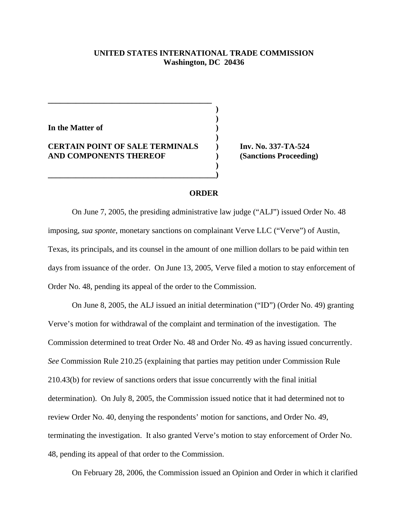## **UNITED STATES INTERNATIONAL TRADE COMMISSION Washington, DC 20436**

**) )**

**)**

**)** 

**In the Matter of )**

## **CERTAIN POINT OF SALE TERMINALS ) Inv. No. 337-TA-524 AND COMPONENTS THEREOF ) (Sanctions Proceeding)**

**\_\_\_\_\_\_\_\_\_\_\_\_\_\_\_\_\_\_\_\_\_\_\_\_\_\_\_\_\_\_\_\_\_\_\_\_\_\_\_\_\_\_)**

**\_\_\_\_\_\_\_\_\_\_\_\_\_\_\_\_\_\_\_\_\_\_\_\_\_\_\_\_\_\_\_\_\_\_\_\_\_\_\_\_\_**

## **ORDER**

On June 7, 2005, the presiding administrative law judge ("ALJ") issued Order No. 48 imposing, *sua sponte*, monetary sanctions on complainant Verve LLC ("Verve") of Austin, Texas, its principals, and its counsel in the amount of one million dollars to be paid within ten days from issuance of the order. On June 13, 2005, Verve filed a motion to stay enforcement of Order No. 48, pending its appeal of the order to the Commission.

On June 8, 2005, the ALJ issued an initial determination ("ID") (Order No. 49) granting Verve's motion for withdrawal of the complaint and termination of the investigation. The Commission determined to treat Order No. 48 and Order No. 49 as having issued concurrently. *See* Commission Rule 210.25 (explaining that parties may petition under Commission Rule 210.43(b) for review of sanctions orders that issue concurrently with the final initial determination). On July 8, 2005, the Commission issued notice that it had determined not to review Order No. 40, denying the respondents' motion for sanctions, and Order No. 49, terminating the investigation. It also granted Verve's motion to stay enforcement of Order No. 48, pending its appeal of that order to the Commission.

On February 28, 2006, the Commission issued an Opinion and Order in which it clarified